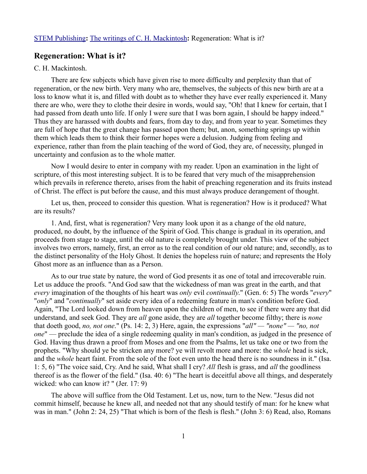## **Regeneration: What is it?**

## C. H. Mackintosh.

There are few subjects which have given rise to more difficulty and perplexity than that of regeneration, or the new birth. Very many who are, themselves, the subjects of this new birth are at a loss to know what it is, and filled with doubt as to whether they have ever really experienced it. Many there are who, were they to clothe their desire in words, would say, "Oh! that I knew for certain, that I had passed from death unto life. If only I were sure that I was born again, I should be happy indeed." Thus they are harassed with doubts and fears, from day to day, and from year to year. Sometimes they are full of hope that the great change has passed upon them; but, anon, something springs up within them which leads them to think their former hopes were a delusion. Judging from feeling and experience, rather than from the plain teaching of the word of God, they are, of necessity, plunged in uncertainty and confusion as to the whole matter.

Now I would desire to enter in company with my reader. Upon an examination in the light of scripture, of this most interesting subject. It is to be feared that very much of the misapprehension which prevails in reference thereto, arises from the habit of preaching regeneration and its fruits instead of Christ. The effect is put before the cause, and this must always produce derangement of thought.

Let us, then, proceed to consider this question. What is regeneration? How is it produced? What are its results?

1. And, first, what is regeneration? Very many look upon it as a change of the old nature, produced, no doubt, by the influence of the Spirit of God. This change is gradual in its operation, and proceeds from stage to stage, until the old nature is completely brought under. This view of the subject involves two errors, namely, first, an error as to the real condition of our old nature; and, secondly, as to the distinct personality of the Holy Ghost. It denies the hopeless ruin of nature; and represents the Holy Ghost more as an influence than as a Person.

As to our true state by nature, the word of God presents it as one of total and irrecoverable ruin. Let us adduce the proofs. "And God saw that the wickedness of man was great in the earth, and that *every* imagination of the thoughts of his heart was *only* evil *continually*." (Gen. 6: 5) The words "*every*" "*only*" and "*continually*" set aside every idea of a redeeming feature in man's condition before God. Again, "The Lord looked down from heaven upon the children of men, to see if there were any that did understand, and seek God. They are *all* gone aside, they are *all* together become filthy; there is *none* that doeth good, *no, not one*." (Ps. 14: 2, 3) Here, again, the expressions "*all" — "none" — "no, not one*" — preclude the idea of a single redeeming quality in man's condition, as judged in the presence of God. Having thus drawn a proof from Moses and one from the Psalms, let us take one or two from the prophets. "Why should ye be stricken any more? ye will revolt more and more: the *whole* head is sick, and the *whole* heart faint. From the sole of the foot even unto the head there is no soundness in it." (Isa. 1: 5, 6) "The voice said, Cry. And he said, What shall I cry? *All* flesh is grass, and *all* the goodliness thereof is as the flower of the field." (Isa. 40: 6) "The heart is deceitful above all things, and desperately wicked: who can know it? " (Jer. 17: 9)

The above will suffice from the Old Testament. Let us, now, turn to the New. "Jesus did not commit himself, because he knew all, and needed not that any should testify of man: for he knew what was in man." (John 2: 24, 25) "That which is born of the flesh is flesh." (John 3: 6) Read, also, Romans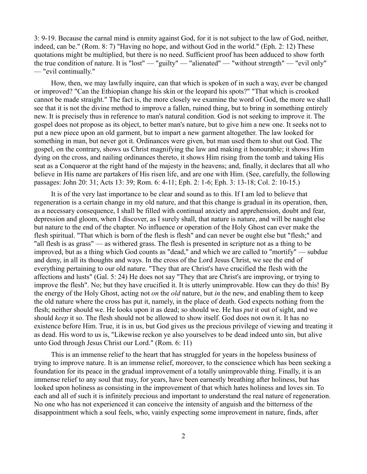3: 9-19. Because the carnal mind is enmity against God, for it is not subject to the law of God, neither, indeed, can be." (Rom. 8: 7) "Having no hope, and without God in the world." (Eph. 2: 12) These quotations might be multiplied, but there is no need. Sufficient proof has been adduced to show forth the true condition of nature. It is "lost" — "guilty" — "alienated" — "without strength" — "evil only" — "evil continually."

How, then, we may lawfully inquire, can that which is spoken of in such a way, ever be changed or improved? "Can the Ethiopian change his skin or the leopard his spots?" "That which is crooked cannot be made straight." The fact is, the more closely we examine the word of God, the more we shall see that it is not the divine method to improve a fallen, ruined thing, but to bring in something entirely new. It is precisely thus in reference to man's natural condition. God is not seeking to improve it. The gospel does not propose as its object, to better man's nature, but to give him a new one. It seeks not to put a new piece upon an old garment, but to impart a new garment altogether. The law looked for something in man, but never got it. Ordinances were given, but man used them to shut out God. The gospel, on the contrary, shows us Christ magnifying the law and making it honourable; it shows Him dying on the cross, and nailing ordinances thereto, it shows Him rising from the tomb and taking His seat as a Conqueror at the right hand of the majesty in the heavens; and, finally, it declares that all who believe in His name are partakers of His risen life, and are one with Him. (See, carefully, the following passages: John 20: 31; Acts 13: 39; Rom. 6: 4-11; Eph. 2: 1-6; Eph. 3: 13-18; Col. 2: 10-15.)

It is of the very last importance to be clear and sound as to this. If I am led to believe that regeneration is a certain change in my old nature, and that this change is gradual in its operation, then, as a necessary consequence, I shall be filled with continual anxiety and apprehension, doubt and fear, depression and gloom, when I discover, as I surely shall, that nature is nature, and will be naught else but nature to the end of the chapter. No influence or operation of the Holy Ghost can ever make the flesh spiritual. "That which is born of the flesh is flesh" and can never be ought else but "flesh;" and "all flesh is as grass" — as withered grass. The flesh is presented in scripture not as a thing to be improved, but as a thing which God counts as "dead," and which we are called to "mortify" — subdue and deny, in all its thoughts and ways. In the cross of the Lord Jesus Christ, we see the end of everything pertaining to our old nature. "They that are Christ's have crucified the flesh with the affections and lusts" (Gal. 5: 24) He does not say "They that are Christ's are improving, or trying to improve the flesh". No; but they have crucified it. It is utterly unimprovable. How can they do this! By the energy of the Holy Ghost, acting not *on* the *old* nature, but *in* the new, and enabling them to keep the old nature where the cross has put it, namely, in the place of death. God expects nothing from the flesh; neither should we. He looks upon it as dead; so should we. He has *put* it out of sight, and we should *keep* it so. The flesh should not be allowed to show itself. God does not own it. It has no existence before Him. True, it is in us, but God gives us the precious privilege of viewing and treating it as dead. His word to us is, "Likewise reckon ye also yourselves to be dead indeed unto sin, but alive unto God through Jesus Christ our Lord." (Rom. 6: 11)

This is an immense relief to the heart that has struggled for years in the hopeless business of trying to improve nature. It is an immense relief, moreover, to the conscience which has been seeking a foundation for its peace in the gradual improvement of a totally unimprovable thing. Finally, it is an immense relief to any soul that may, for years, have been earnestly breathing after holiness, but has looked upon holiness as consisting in the improvement of that which hates holiness and loves sin. To each and all of such it is infinitely precious and important to understand the real nature of regeneration. No one who has not experienced it can conceive the intensity of anguish and the bitterness of the disappointment which a soul feels, who, vainly expecting some improvement in nature, finds, after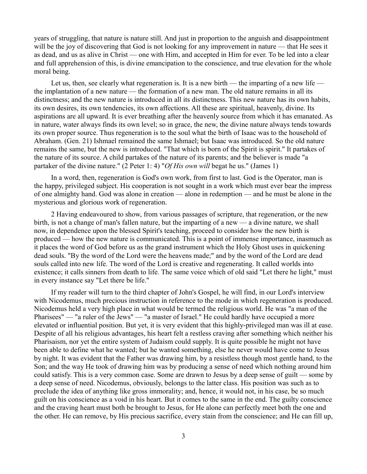years of struggling, that nature is nature still. And just in proportion to the anguish and disappointment will be the joy of discovering that God is not looking for any improvement in nature — that He sees it as dead, and us as alive in Christ — one with Him, and accepted in Him for ever. To be led into a clear and full apprehension of this, is divine emancipation to the conscience, and true elevation for the whole moral being.

Let us, then, see clearly what regeneration is. It is a new birth — the imparting of a new life the implantation of a new nature — the formation of a new man. The old nature remains in all its distinctness; and the new nature is introduced in all its distinctness. This new nature has its own habits, its own desires, its own tendencies, its own affections. All these are spiritual, heavenly, divine. Its aspirations are all upward. It is ever breathing after the heavenly source from which it has emanated. As in nature, water always finds its own level; so in grace, the new, the divine nature always tends towards its own proper source. Thus regeneration is to the soul what the birth of Isaac was to the household of Abraham. (Gen. 21) Ishmael remained the same Ishmael; but Isaac was introduced. So the old nature remains the same, but the new is introduced. "That which is born of the Spirit is spirit." It partakes of the nature of its source. A child partakes of the nature of its parents; and the believer is made "a partaker of the divine nature." (2 Peter 1: 4) "*Of His own will* begat he us." (James 1)

In a word, then, regeneration is God's own work, from first to last. God is the Operator, man is the happy, privileged subject. His cooperation is not sought in a work which must ever bear the impress of one almighty hand. God was alone in creation — alone in redemption — and he must be alone in the mysterious and glorious work of regeneration.

2 Having endeavoured to show, from various passages of scripture, that regeneration, or the new birth, is not a change of man's fallen nature, but the imparting of a new — a divine nature, we shall now, in dependence upon the blessed Spirit's teaching, proceed to consider how the new birth is produced — how the new nature is communicated. This is a point of immense importance, inasmuch as it places the word of God before us as the grand instrument which the Holy Ghost uses in quickening dead souls. "By the word of the Lord were the heavens made;" and by the word of the Lord are dead souls called into new life. The word of the Lord is creative and regenerating. It called worlds into existence; it calls sinners from death to life. The same voice which of old said "Let there he light," must in every instance say "Let there be life."

If my reader will turn to the third chapter of John's Gospel, he will find, in our Lord's interview with Nicodemus, much precious instruction in reference to the mode in which regeneration is produced. Nicodemus held a very high place in what would be termed the religious world. He was "a man of the Pharisees" — "a ruler of the Jews" — "a master of Israel." He could hardly have occupied a more elevated or influential position. But yet, it is very evident that this highly-privileged man was ill at ease. Despite of all his religious advantages, his heart felt a restless craving after something which neither his Pharisaism, nor yet the entire system of Judaism could supply. It is quite possible he might not have been able to define what he wanted; but he wanted something, else he never would have come to Jesus by night. It was evident that the Father was drawing him, by a resistless though most gentle hand, to the Son; and the way He took of drawing him was by producing a sense of need which nothing around him could satisfy. This is a very common case. Some are drawn to Jesus by a deep sense of guilt — some by a deep sense of need. Nicodemus, obviously, belongs to the latter class. His position was such as to preclude the idea of anything like gross immorality; and, hence, it would not, in his case, be so much guilt on his conscience as a void in his heart. But it comes to the same in the end. The guilty conscience and the craving heart must both be brought to Jesus, for He alone can perfectly meet both the one and the other. He can remove, by His precious sacrifice, every stain from the conscience; and He can fill up,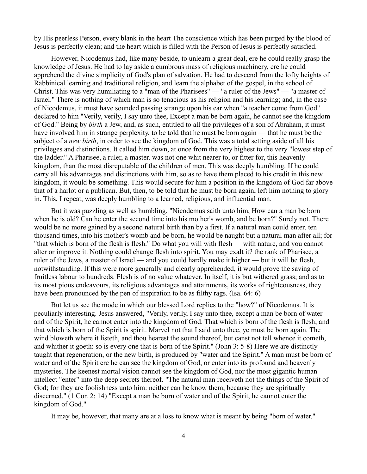by His peerless Person, every blank in the heart The conscience which has been purged by the blood of Jesus is perfectly clean; and the heart which is filled with the Person of Jesus is perfectly satisfied.

However, Nicodemus had, like many beside, to unlearn a great deal, ere he could really grasp the knowledge of Jesus. He had to lay aside a cumbrous mass of religious machinery, ere he could apprehend the divine simplicity of God's plan of salvation. He had to descend from the lofty heights of Rabbinical learning and traditional religion, and learn the alphabet of the gospel, in the school of Christ. This was very humiliating to a "man of the Pharisees" — "a ruler of the Jews" — "a master of Israel." There is nothing of which man is so tenacious as his religion and his learning; and, in the case of Nicodemus, it must have sounded passing strange upon his ear when "a teacher come from God" declared to him "Verily, verily, I say unto thee, Except a man be born again, he cannot see the kingdom of God." Being by *birth* a Jew, and, as such, entitled to all the privileges of a son of Abraham, it must have involved him in strange perplexity, to be told that he must be born again — that he must be the subject of a *new birth*, in order to see the kingdom of God. This was a total setting aside of all his privileges and distinctions. It called him down, at once from the very highest to the very "lowest step of the ladder." A Pharisee, a ruler, a master. was not one whit nearer to, or fitter for, this heavenly kingdom, than the most disreputable of the children of men. This was deeply humbling. If he could carry all his advantages and distinctions with him, so as to have them placed to his credit in this new kingdom, it would be something. This would secure for him a position in the kingdom of God far above that of a harlot or a publican. But, then, to be told that he must be born again, left him nothing to glory in. This, I repeat, was deeply humbling to a learned, religious, and influential man.

But it was puzzling as well as humbling. "Nicodemus saith unto him, How can a man be born when he is old? Can he enter the second time into his mother's womb, and be born?" Surely not. There would be no more gained by a second natural birth than by a first. If a natural man could enter, ten thousand times, into his mother's womb and be born, he would be naught but a natural man after all; for "that which is born of the flesh is flesh." Do what you will with flesh — with nature, and you cannot alter or improve it. Nothing could change flesh into spirit. You may exalt it? the rank of Pharisee, a ruler of the Jews, a master of Israel — and you could hardly make it higher — but it will be flesh, notwithstanding. If this were more generally and clearly apprehended, it would prove the saving of fruitless labour to hundreds. Flesh is of no value whatever. In itself, it is but withered grass; and as to its most pious endeavours, its religious advantages and attainments, its works of righteousness, they have been pronounced by the pen of inspiration to be as filthy rags. (Isa. 64: 6)

But let us see the mode in which our blessed Lord replies to the "how?" of Nicodemus. It is peculiarly interesting. Jesus answered, "Verily, verily, I say unto thee, except a man be born of water and of the Spirit, he cannot enter into the kingdom of God. That which is born of the flesh is flesh; and that which is born of the Spirit is spirit. Marvel not that I said unto thee, ye must be born again. The wind bloweth where it listeth, and thou hearest the sound thereof, but canst not tell whence it cometh, and whither it goeth: so is every one that is born of the Spirit." (John 3: 5-8) Here we are distinctly taught that regeneration, or the new birth, is produced by "water and the Spirit." A man must be born of water and of the Spirit ere he can see the kingdom of God, or enter into its profound and heavenly mysteries. The keenest mortal vision cannot see the kingdom of God, nor the most gigantic human intellect "enter" into the deep secrets thereof. "The natural man receiveth not the things of the Spirit of God; for they are foolishness unto him: neither can he know them, because they are spiritually discerned." (1 Cor. 2: 14) "Except a man be born of water and of the Spirit, he cannot enter the kingdom of God."

It may be, however, that many are at a loss to know what is meant by being "born of water."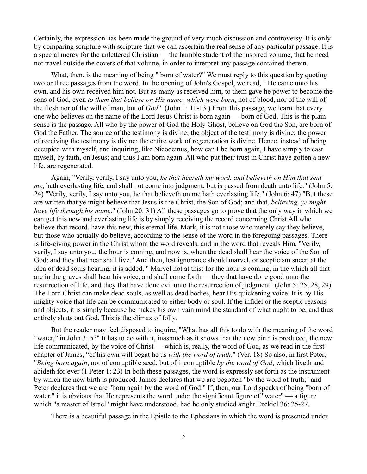Certainly, the expression has been made the ground of very much discussion and controversy. It is only by comparing scripture with scripture that we can ascertain the real sense of any particular passage. It is a special mercy for the unlettered Christian — the humble student of the inspired volume, that he need not travel outside the covers of that volume, in order to interpret any passage contained therein.

What, then, is the meaning of being " born of water?" We must reply to this question by quoting two or three passages from the word. In the opening of John's Gospel, we read, " He came unto his own, and his own received him not. But as many as received him, to them gave he power to become the sons of God, even *to them that believe on His name: which were born*, not of blood, nor of the will of the flesh nor of the will of man, but of *God*." (John 1: 11-13.) From this passage, we learn that every one who believes on the name of the Lord Jesus Christ is born again — born of God, This is the plain sense is the passage. All who by the power of God the Holy Ghost, believe on God the Son, are born of God the Father. The source of the testimony is divine; the object of the testimony is divine; the power of receiving the testimony is divine; the entire work of regeneration is divine. Hence, instead of being occupied with myself, and inquiring, like Nicodemus, how can I be born again, I have simply to cast myself, by faith, on Jesus; and thus I am born again. All who put their trust in Christ have gotten a new life, are regenerated.

Again, "Verily, verily, I say unto you, *he that heareth my word, and believeth on Him that sent me*, hath everlasting life, and shall not come into judgment; but is passed from death unto life." (John 5: 24) "Verily, verily, I say unto you, he that believeth on me hath everlasting life." (John 6: 47) "But these are written that ye might believe that Jesus is the Christ, the Son of God; and that, *believing, ye might have life through his name*." (John 20: 31) All these passages go to prove that the only way in which we can get this new and everlasting life is by simply receiving the record concerning Christ All who believe that record, have this new, this eternal life. Mark, it is not those who merely say they believe, but those who actually do believe, according to the sense of the word in the foregoing passages. There is life-giving power in the Christ whom the word reveals, and in the word that reveals Him. "Verily, verily, I say unto you, the hour is coming, and now is, when the dead shall hear the voice of the Son of God; and they that hear shall live." And then, lest ignorance should marvel, or scepticism sneer, at the idea of dead souls hearing, it is added, " Marvel not at this: for the hour is coming, in the which all that are in the graves shall hear his voice, and shall come forth — they that have done good unto the resurrection of life, and they that have done evil unto the resurrection of judgment" (John 5: 25, 28, 29) The Lord Christ can make dead souls, as well as dead bodies, hear His quickening voice. It is by His mighty voice that life can be communicated to either body or soul. If the infidel or the sceptic reasons and objects, it is simply because he makes his own vain mind the standard of what ought to be, and thus entirely shuts out God. This is the climax of folly.

But the reader may feel disposed to inquire, "What has all this to do with the meaning of the word "water," in John 3: 5?" It has to do with it, inasmuch as it shows that the new birth is produced, the new life communicated, by the voice of Christ — which is, really, the word of God, as we read in the first chapter of James, "of his own will begat he us *with the word of truth*." (Ver. 18) So also, in first Peter, "*Being born again*, not of corruptible seed, but of incorruptible *by the word of God*, which liveth and abideth for ever (1 Peter 1: 23) In both these passages, the word is expressly set forth as the instrument by which the new birth is produced. James declares that we are begotten "by the word of truth;" and Peter declares that we are "born again by the word of God." If, then, our Lord speaks of being "born of water," it is obvious that He represents the word under the significant figure of "water" — a figure which "a master of Israel" might have understood, had he only studied aright Ezekiel 36: 25-27.

There is a beautiful passage in the Epistle to the Ephesians in which the word is presented under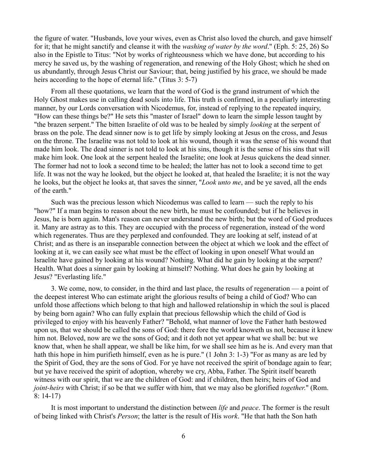the figure of water. "Husbands, love your wives, even as Christ also loved the church, and gave himself for it; that he might sanctify and cleanse it with the *washing of water by the word*." (Eph. 5: 25, 26) So also in the Epistle to Titus: "Not by works of righteousness which we have done, but according to his mercy he saved us, by the washing of regeneration, and renewing of the Holy Ghost; which he shed on us abundantly, through Jesus Christ our Saviour; that, being justified by his grace, we should be made heirs according to the hope of eternal life." (Titus 3: 5-7)

From all these quotations, we learn that the word of God is the grand instrument of which the Holy Ghost makes use in calling dead souls into life. This truth is confirmed, in a peculiarly interesting manner, by our Lords conversation with Nicodemus, for, instead of replying to the repeated inquiry, "How can these things be?" He sets this "master of Israel" down to learn the simple lesson taught by "the brazen serpent." The bitten Israelite of old was to be healed by simply *looking* at the serpent of brass on the pole. The dead sinner now is to get life by simply looking at Jesus on the cross, and Jesus on the throne. The Israelite was not told to look at his wound, though it was the sense of his wound that made him look. The dead sinner is not told to look at his sins, though it is the sense of his sins that will make him look. One look at the serpent healed the Israelite; one look at Jesus quickens the dead sinner. The former had not to look a second time to be healed; the latter has not to look a second time to get life. It was not the way he looked, but the object he looked at, that healed the Israelite; it is not the way he looks, but the object he looks at, that saves the sinner, "*Look unto me*, and be ye saved, all the ends of the earth."

Such was the precious lesson which Nicodemus was called to learn — such the reply to his "how?" If a man begins to reason about the new birth, he must be confounded; but if he believes in Jesus, he is born again. Man's reason can never understand the new birth; but the word of God produces it. Many are astray as to this. They are occupied with the process of regeneration, instead of the word which regenerates. Thus are they perplexed and confounded. They are looking at self, instead of at Christ; and as there is an inseparable connection between the object at which we look and the effect of looking at it, we can easily see what must be the effect of looking in upon oneself What would an Israelite have gained by looking at his wound? Nothing. What did he gain by looking at the serpent? Health. What does a sinner gain by looking at himself? Nothing. What does he gain by looking at Jesus? "Everlasting life."

3. We come, now, to consider, in the third and last place, the results of regeneration — a point of the deepest interest Who can estimate aright the glorious results of being a child of God? Who can unfold those affections which belong to that high and hallowed relationship in which the soul is placed by being born again? Who can fully explain that precious fellowship which the child of God is privileged to enjoy with his heavenly Father? "Behold, what manner of love the Father hath bestowed upon us, that we should be called the sons of God: there fore the world knoweth us not, because it knew him not. Beloved, now are we the sons of God; and it doth not yet appear what we shall be: but we know that, when he shall appear, we shall be like him, for we shall see him as he is. And every man that hath this hope in him purifieth himself, even as he is pure." (1 John 3: 1-3) "For as many as are led by the Spirit of God, they are the sons of God. For ye have not received the spirit of bondage again to fear; but ye have received the spirit of adoption, whereby we cry, Abba, Father. The Spirit itself beareth witness with our spirit, that we are the children of God: and if children, then heirs; heirs of God and *joint-heirs* with Christ; if so be that we suffer with him, that we may also be glorified *together*." (Rom. 8: 14-17)

It is most important to understand the distinction between *life* and *peace*. The former is the result of being linked with Christ's *Person*; the latter is the result of His *work*. "He that hath the Son hath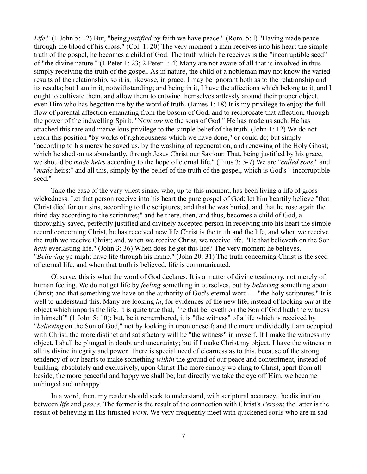*Life*." (1 John 5: 12) But, "being *justified* by faith we have peace." (Rom. 5: l) "Having made peace through the blood of his cross." (Col. 1: 20) The very moment a man receives into his heart the simple truth of the gospel, he becomes a child of God. The truth which he receives is the "incorruptible seed" of "the divine nature." (1 Peter 1: 23; 2 Peter 1: 4) Many are not aware of all that is involved in thus simply receiving the truth of the gospel. As in nature, the child of a nobleman may not know the varied results of the relationship, so it is, likewise, in grace. I may be ignorant both as to the relationship and its results; but I am in it, notwithstanding; and being in it, I have the affections which belong to it, and I ought to cultivate them, and allow them to entwine themselves artlessly around their proper object, even Him who has begotten me by the word of truth. (James 1: 18) It is my privilege to enjoy the full flow of parental affection emanating from the bosom of God, and to reciprocate that affection, through the power of the indwelling Spirit. "Now *are* we the sons of God." He has made us such. He has attached this rare and marvellous privilege to the simple belief of the truth. (John 1: 12) We do not reach this position "by works of righteousness which we have done," or could do; but simply "according to his mercy he saved us, by the washing of regeneration, and renewing of the Holy Ghost; which he shed on us abundantly, through Jesus Christ our Saviour. That, being justified by his grace, we should be *made heirs* according to the hope of eternal life." (Titus 3: 5-7) We are "*called sons*," and "*made* heirs;" and all this, simply by the belief of the truth of the gospel, which is God's " incorruptible seed."

Take the case of the very vilest sinner who, up to this moment, has been living a life of gross wickedness. Let that person receive into his heart the pure gospel of God; let him heartily believe "that Christ died for our sins, according to the scriptures; and that he was buried, and that he rose again the third day according to the scriptures;" and he there, then, and thus, becomes a child of God, a thoroughly saved, perfectly justified and divinely accepted person In receiving into his heart the simple record concerning Christ, he has received new life Christ is the truth and the life, and when we receive the truth we receive Christ; and, when we receive Christ, we receive life. "He that believeth on the Son *hath* everlasting life." (John 3: 36) When does he get this life? The very moment he believes. "*Believing* ye might have life through his name." (John 20: 31) The truth concerning Christ is the seed of eternal life, and when that truth is believed, life is communicated.

Observe, this is what the word of God declares. It is a matter of divine testimony, not merely of human feeling. We do not get life by *feeling* something in ourselves, but by *believing* something about Christ; and that something we have on the authority of God's eternal word — "the holy scriptures." It is well to understand this. Many are looking *in*, for evidences of the new life, instead of looking *out* at the object which imparts the life. It is quite true that, "he that believeth on the Son of God hath the witness in himself " (1 John 5: 10); but, be it remembered, it is "the witness" of a life which is received by "*believing* on the Son of God," not by looking in upon oneself; and the more undividedly I am occupied with Christ, the more distinct and satisfactory will be "the witness" in myself. If I make the witness my object, I shall be plunged in doubt and uncertainty; but if I make Christ my object, I have the witness in all its divine integrity and power. There is special need of clearness as to this, because of the strong tendency of our hearts to make something *within* the ground of our peace and contentment, instead of building, absolutely and exclusively, upon Christ The more simply we cling to Christ, apart from all beside, the more peaceful and happy we shall be; but directly we take the eye off Him, we become unhinged and unhappy.

In a word, then, my reader should seek to understand, with scriptural accuracy, the distinction between *life* and *peace*. The former is the result of the connection with Christ's *Person*; the latter is the result of believing in His finished *work*. We very frequently meet with quickened souls who are in sad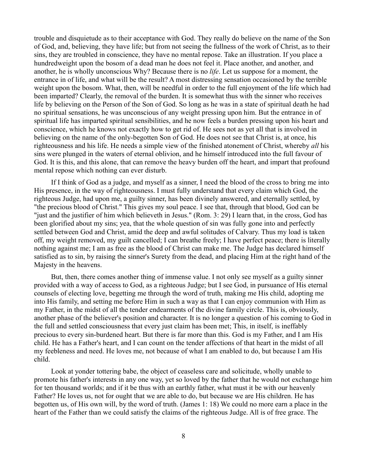trouble and disquietude as to their acceptance with God. They really do believe on the name of the Son of God, and, believing, they have life; but from not seeing the fullness of the work of Christ, as to their sins, they are troubled in conscience, they have no mental repose. Take an illustration. If you place a hundredweight upon the bosom of a dead man he does not feel it. Place another, and another, and another, he is wholly unconscious Why? Because there is no *life*. Let us suppose for a moment, the entrance in of life, and what will be the result? A most distressing sensation occasioned by the terrible weight upon the bosom. What, then, will be needful in order to the full enjoyment of the life which had been imparted? Clearly, the removal of the burden. It is somewhat thus with the sinner who receives life by believing on the Person of the Son of God. So long as he was in a state of spiritual death he had no spiritual sensations, he was unconscious of any weight pressing upon him. But the entrance in of spiritual life has imparted spiritual sensibilities, and he now feels a burden pressing upon his heart and conscience, which he knows not exactly how to get rid of. He sees not as yet all that is involved in believing on the name of the only-begotten Son of God. He does not see that Christ is, at once, his righteousness and his life. He needs a simple view of the finished atonement of Christ, whereby *all* his sins were plunged in the waters of eternal oblivion, and he himself introduced into the full favour of God. It is this, and this alone, that can remove the heavy burden off the heart, and impart that profound mental repose which nothing can ever disturb.

If I think of God as a judge, and myself as a sinner, I need the blood of the cross to bring me into His presence, in the way of righteousness. I must fully understand that every claim which God, the righteous Judge, had upon me, a guilty sinner, has been divinely answered, and eternally settled, by "the precious blood of Christ." This gives my soul peace. I see that, through that blood, God can be "just and the justifier of him which believeth in Jesus." (Rom. 3: 29) I learn that, in the cross, God has been glorified about my sins; yea, that the whole question of sin was fully gone into and perfectly settled between God and Christ, amid the deep and awful solitudes of Calvary. Thus my load is taken off, my weight removed, my guilt cancelled; I can breathe freely; I have perfect peace; there is literally nothing against me; I am as free as the blood of Christ can make me. The Judge has declared himself satisfied as to sin, by raising the sinner's Surety from the dead, and placing Him at the right hand of the Majesty in the heavens.

But, then, there comes another thing of immense value. I not only see myself as a guilty sinner provided with a way of access to God, as a righteous Judge; but I see God, in pursuance of His eternal counsels of electing love, begetting me through the word of truth, making me His child, adopting me into His family, and setting me before Him in such a way as that I can enjoy communion with Him as my Father, in the midst of all the tender endearments of the divine family circle. This is, obviously, another phase of the believer's position and character. It is no longer a question of his coming to God in the full and settled consciousness that every just claim has been met; This, in itself, is ineffably precious to every sin-burdened heart. But there is far more than this. God is my Father, and I am His child. He has a Father's heart, and I can count on the tender affections of that heart in the midst of all my feebleness and need. He loves me, not because of what I am enabled to do, but because I am His child.

Look at yonder tottering babe, the object of ceaseless care and solicitude, wholly unable to promote his father's interests in any one way, yet so loved by the father that he would not exchange him for ten thousand worlds; and if it be thus with an earthly father, what must it be with our heavenly Father? He loves us, not for ought that we are able to do, but because we are His children. He has begotten us, of His own will, by the word of truth. (James 1: 18) We could no more earn a place in the heart of the Father than we could satisfy the claims of the righteous Judge. All is of free grace. The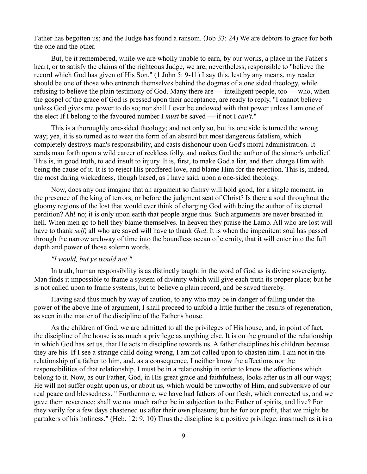Father has begotten us; and the Judge has found a ransom. (Job 33: 24) We are debtors to grace for both the one and the other.

But, be it remembered, while we are wholly unable to earn, by our works, a place in the Father's heart, or to satisfy the claims of the righteous Judge, we are, nevertheless, responsible to "believe the record which God has given of His Son." (1 John 5: 9-11) I say this, lest by any means, my reader should be one of those who entrench themselves behind the dogmas of a one sided theology, while refusing to believe the plain testimony of God. Many there are — intelligent people, too — who, when the gospel of the grace of God is pressed upon their acceptance, are ready to reply, "I cannot believe unless God gives me power to do so; nor shall I ever be endowed with that power unless I am one of the elect If I belong to the favoured number I *must* be saved — if not I *can't.*"

This is a thoroughly one-sided theology; and not only so, but its one side is turned the wrong way; yea, it is so turned as to wear the form of an absurd but most dangerous fatalism, which completely destroys man's responsibility, and casts dishonour upon God's moral administration. It sends man forth upon a wild career of reckless folly, and makes God the author of the sinner's unbelief. This is, in good truth, to add insult to injury. It is, first, to make God a liar, and then charge Him with being the cause of it. It is to reject His proffered love, and blame Him for the rejection. This is, indeed, the most daring wickedness, though based, as I have said, upon a one-sided theology.

Now, does any one imagine that an argument so flimsy will hold good, for a single moment, in the presence of the king of terrors, or before the judgment seat of Christ? Is there a soul throughout the gloomy regions of the lost that would ever think of charging God with being the author of its eternal perdition? Ah! no; it is only upon earth that people argue thus. Such arguments are never breathed in hell. When men go to hell they blame themselves. In heaven they praise the Lamb. All who are lost will have to thank *self*; all who are saved will have to thank *God*. It is when the impenitent soul has passed through the narrow archway of time into the boundless ocean of eternity, that it will enter into the full depth and power of those solemn words,

## *"I would, but ye would not."*

In truth, human responsibility is as distinctly taught in the word of God as is divine sovereignty. Man finds it impossible to frame a system of divinity which will give each truth its proper place; but he is not called upon to frame systems, but to believe a plain record, and be saved thereby.

Having said thus much by way of caution, to any who may be in danger of falling under the power of the above line of argument, I shall proceed to unfold a little further the results of regeneration, as seen in the matter of the discipline of the Father's house.

As the children of God, we are admitted to all the privileges of His house, and, in point of fact, the discipline of the house is as much a privilege as anything else. It is on the ground of the relationship in which God has set us, that He acts in discipline towards us. A father disciplines his children because they are his. If I see a strange child doing wrong, I am not called upon to chasten him. I am not in the relationship of a father to him, and, as a consequence, I neither know the affections nor the responsibilities of that relationship. I must be in a relationship in order to know the affections which belong to it. Now, as our Father, God, in His great grace and faithfulness, looks after us in all our ways; He will not suffer ought upon us, or about us, which would be unworthy of Him, and subversive of our real peace and blessedness. " Furthermore, we have had fathers of our flesh, which corrected us, and we gave them reverence: shall we not much rather be in subjection to the Father of spirits, and live? For they verily for a few days chastened us after their own pleasure; but he for our profit, that we might be partakers of his holiness." (Heb. 12: 9, 10) Thus the discipline is a positive privilege, inasmuch as it is a